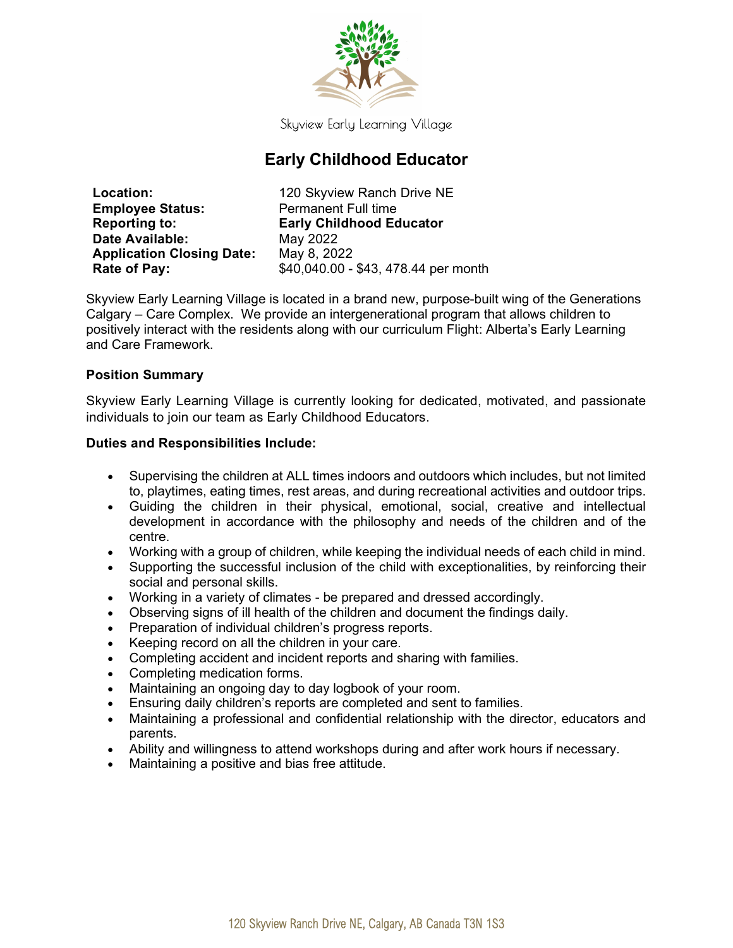

Skyview Early Learning Village

# Early Childhood Educator

**Employee Status:** Permanent Full time Date Available: May 2022 Application Closing Date: May 8, 2022

Location: 120 Skyview Ranch Drive NE Reporting to: Early Childhood Educator **Rate of Pay:**  $$40,040.00 - $43,478.44$  per month

Skyview Early Learning Village is located in a brand new, purpose-built wing of the Generations Calgary – Care Complex. We provide an intergenerational program that allows children to positively interact with the residents along with our curriculum Flight: Alberta's Early Learning and Care Framework.

## Position Summary

Skyview Early Learning Village is currently looking for dedicated, motivated, and passionate individuals to join our team as Early Childhood Educators.

#### Duties and Responsibilities Include:

- Supervising the children at ALL times indoors and outdoors which includes, but not limited to, playtimes, eating times, rest areas, and during recreational activities and outdoor trips.
- Guiding the children in their physical, emotional, social, creative and intellectual development in accordance with the philosophy and needs of the children and of the centre.
- Working with a group of children, while keeping the individual needs of each child in mind.
- Supporting the successful inclusion of the child with exceptionalities, by reinforcing their social and personal skills.
- Working in a variety of climates be prepared and dressed accordingly.
- Observing signs of ill health of the children and document the findings daily.
- Preparation of individual children's progress reports.
- Keeping record on all the children in your care.
- Completing accident and incident reports and sharing with families.
- Completing medication forms.
- Maintaining an ongoing day to day logbook of your room.
- Ensuring daily children's reports are completed and sent to families.
- Maintaining a professional and confidential relationship with the director, educators and parents.
- Ability and willingness to attend workshops during and after work hours if necessary.
- Maintaining a positive and bias free attitude.